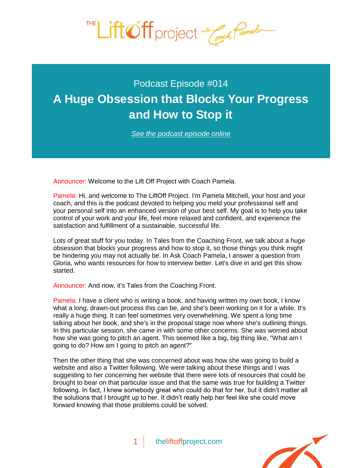

## Podcast Episode #014 **[A Huge Obsession that Blocks Your Progress](http://theliftoffproject.com/huge-obsession-blocks-progress-stop/)  and How to Stop it**

*See the podcast episode online*

Announcer: Welcome to the Lift Off Project with Coach Pamela.

Pamela: Hi, and welcome to The LiftOff Project. I'm Pamela Mitchell, your host and your coach, and this is the podcast devoted to helping you meld your professional self and your personal self into an enhanced version of your best self. My goal is to help you take control of your work and your life, feel more relaxed and confident, and experience the satisfaction and fulfillment of a sustainable, successful life.

Lots of great stuff for you today. In Tales from the Coaching Front, we talk about a huge obsession that blocks your progress and how to stop it, so those things you think might be hindering you may not actually be. In Ask Coach Pamela, I answer a question from Gloria, who wants resources for how to interview better. Let's dive in and get this show started.

Announcer: And now, it's Tales from the Coaching Front.

Pamela: I have a client who is writing a book, and having written my own book, I know what a long, drawn-out process this can be, and she's been working on it for a while. It's really a huge thing. It can feel sometimes very overwhelming. We spent a long time talking about her book, and she's in the proposal stage now where she's outlining things. In this particular session, she came in with some other concerns. She was worried about how she was going to pitch an agent. This seemed like a big, big thing like, "What am I going to do? How am I going to pitch an agent?"

Then the other thing that she was concerned about was how she was going to build a website and also a Twitter following. We were talking about these things and I was suggesting to her concerning her website that there were lots of resources that could be brought to bear on that particular issue and that the same was true for building a Twitter following. In fact, I knew somebody great who could do that for her, but it didn't matter all the solutions that I brought up to her. It didn't really help her feel like she could move forward knowing that those problems could be solved.

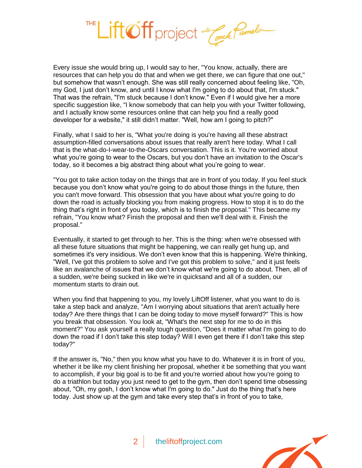

Every issue she would bring up, I would say to her, "You know, actually, there are resources that can help you do that and when we get there, we can figure that one out," but somehow that wasn't enough. She was still really concerned about feeling like, "Oh, my God, I just don't know, and until I know what I'm going to do about that, I'm stuck." That was the refrain, "I'm stuck because I don't know." Even if I would give her a more specific suggestion like, "I know somebody that can help you with your Twitter following, and I actually know some resources online that can help you find a really good developer for a website," it still didn't matter. "Well, how am I going to pitch?"

Finally, what I said to her is, "What you're doing is you're having all these abstract assumption-filled conversations about issues that really aren't here today. What I call that is the what-do-I-wear-to-the-Oscars conversation. This is it. You're worried about what you're going to wear to the Oscars, but you don't have an invitation to the Oscar's today, so it becomes a big abstract thing about what you're going to wear.

"You got to take action today on the things that are in front of you today. If you feel stuck because you don't know what you're going to do about those things in the future, then you can't move forward. This obsession that you have about what you're going to do down the road is actually blocking you from making progress. How to stop it is to do the thing that's right in front of you today, which is to finish the proposal." This became my refrain, "You know what? Finish the proposal and then we'll deal with it. Finish the proposal."

Eventually, it started to get through to her. This is the thing: when we're obsessed with all these future situations that might be happening, we can really get hung up, and sometimes it's very insidious. We don't even know that this is happening. We're thinking, "Well, I've got this problem to solve and I've got this problem to solve," and it just feels like an avalanche of issues that we don't know what we're going to do about. Then, all of a sudden, we're being sucked in like we're in quicksand and all of a sudden, our momentum starts to drain out.

When you find that happening to you, my lovely LiftOff listener, what you want to do is take a step back and analyze, "Am I worrying about situations that aren't actually here today? Are there things that I can be doing today to move myself forward?" This is how you break that obsession. You look at, "What's the next step for me to do in this moment?" You ask yourself a really tough question, "Does it matter what I'm going to do down the road if I don't take this step today? Will I even get there if I don't take this step today?"

If the answer is, "No," then you know what you have to do. Whatever it is in front of you, whether it be like my client finishing her proposal, whether it be something that you want to accomplish, if your big goal is to be fit and you're worried about how you're going to do a triathlon but today you just need to get to the gym, then don't spend time obsessing about, "Oh, my gosh, I don't know what I'm going to do." Just do the thing that's here today. Just show up at the gym and take every step that's in front of you to take,

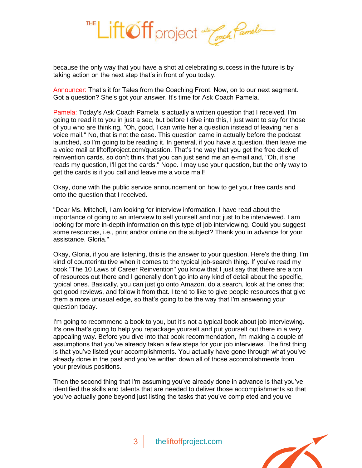

because the only way that you have a shot at celebrating success in the future is by taking action on the next step that's in front of you today.

Announcer: That's it for Tales from the Coaching Front. Now, on to our next segment. Got a question? She's got your answer. It's time for Ask Coach Pamela.

Pamela: Today's Ask Coach Pamela is actually a written question that I received. I'm going to read it to you in just a sec, but before I dive into this, I just want to say for those of you who are thinking, "Oh, good, I can write her a question instead of leaving her a voice mail." No, that is not the case. This question came in actually before the podcast launched, so I'm going to be reading it. In general, if you have a question, then leave me a voice mail at liftoffproject.com/question. That's the way that you get the free deck of reinvention cards, so don't think that you can just send me an e-mail and, "Oh, if she reads my question, I'll get the cards." Nope. I may use your question, but the only way to get the cards is if you call and leave me a voice mail!

Okay, done with the public service announcement on how to get your free cards and onto the question that I received.

"Dear Ms. Mitchell, I am looking for interview information. I have read about the importance of going to an interview to sell yourself and not just to be interviewed. I am looking for more in-depth information on this type of job interviewing. Could you suggest some resources, i.e., print and/or online on the subject? Thank you in advance for your assistance. Gloria."

Okay, Gloria, if you are listening, this is the answer to your question. Here's the thing. I'm kind of counterintuitive when it comes to the typical job-search thing. If you've read my book "The 10 Laws of Career Reinvention" you know that I just say that there are a ton of resources out there and I generally don't go into any kind of detail about the specific, typical ones. Basically, you can just go onto Amazon, do a search, look at the ones that get good reviews, and follow it from that. I tend to like to give people resources that give them a more unusual edge, so that's going to be the way that I'm answering your question today.

I'm going to recommend a book to you, but it's not a typical book about job interviewing. It's one that's going to help you repackage yourself and put yourself out there in a very appealing way. Before you dive into that book recommendation, I'm making a couple of assumptions that you've already taken a few steps for your job interviews. The first thing is that you've listed your accomplishments. You actually have gone through what you've already done in the past and you've written down all of those accomplishments from your previous positions.

Then the second thing that I'm assuming you've already done in advance is that you've identified the skills and talents that are needed to deliver those accomplishments so that you've actually gone beyond just listing the tasks that you've completed and you've

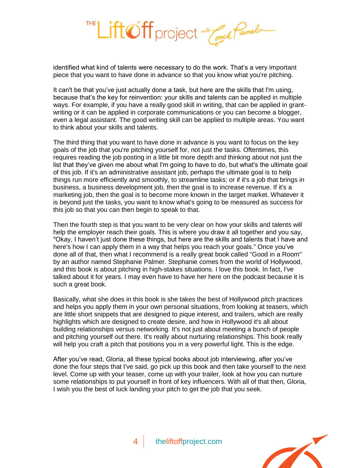

identified what kind of talents were necessary to do the work. That's a very important piece that you want to have done in advance so that you know what you're pitching.

It can't be that you've just actually done a task, but here are the skills that I'm using, because that's the key for reinvention: your skills and talents can be applied in multiple ways. For example, if you have a really good skill in writing, that can be applied in grantwriting or it can be applied in corporate communications or you can become a blogger, even a legal assistant. The good writing skill can be applied to multiple areas. You want to think about your skills and talents.

The third thing that you want to have done in advance is you want to focus on the key goals of the job that you're pitching yourself for, not just the tasks. Oftentimes, this requires reading the job posting in a little bit more depth and thinking about not just the list that they've given me about what I'm going to have to do, but what's the ultimate goal of this job. If it's an administrative assistant job, perhaps the ultimate goal is to help things run more efficiently and smoothly, to streamline tasks; or if it's a job that brings in business, a business development job, then the goal is to increase revenue. If it's a marketing job, then the goal is to become more known in the target market. Whatever it is beyond just the tasks, you want to know what's going to be measured as success for this job so that you can then begin to speak to that.

Then the fourth step is that you want to be very clear on how your skills and talents will help the employer reach their goals. This is where you draw it all together and you say, "Okay, I haven't just done these things, but here are the skills and talents that I have and here's how I can apply them in a way that helps you reach your goals." Once you've done all of that, then what I recommend is a really great book called "Good in a Room" by an author named Stephanie Palmer. Stephanie comes from the world of Hollywood, and this book is about pitching in high-stakes situations. I love this book. In fact, I've talked about it for years. I may even have to have her here on the podcast because it is such a great book.

Basically, what she does in this book is she takes the best of Hollywood pitch practices and helps you apply them in your own personal situations, from looking at teasers, which are little short snippets that are designed to pique interest, and trailers, which are really highlights which are designed to create desire, and how in Hollywood it's all about building relationships versus networking. It's not just about meeting a bunch of people and pitching yourself out there. It's really about nurturing relationships. This book really will help you craft a pitch that positions you in a very powerful light. This is the edge.

After you've read, Gloria, all these typical books about job interviewing, after you've done the four steps that I've said, go pick up this book and then take yourself to the next level. Come up with your teaser, come up with your trailer, look at how you can nurture some relationships to put yourself in front of key influencers. With all of that then, Gloria, I wish you the best of luck landing your pitch to get the job that you seek.